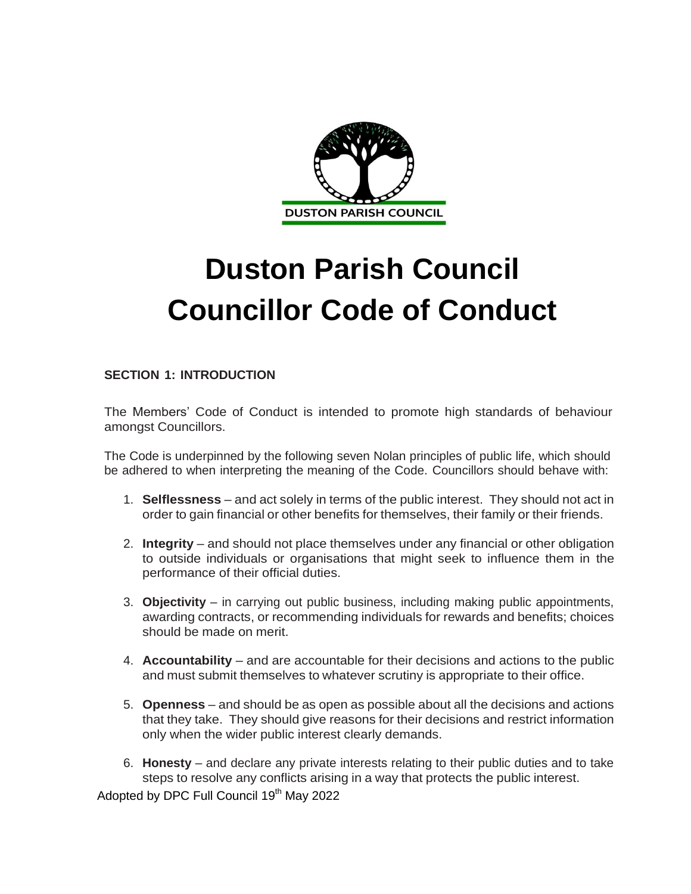

# **Duston Parish Council Councillor Code of Conduct**

# **SECTION 1: INTRODUCTION**

The Members' Code of Conduct is intended to promote high standards of behaviour amongst Councillors.

The Code is underpinned by the following seven Nolan principles of public life, which should be adhered to when interpreting the meaning of the Code. Councillors should behave with:

- 1. **Selflessness** and act solely in terms of the public interest. They should not act in order to gain financial or other benefits for themselves, their family or their friends.
- 2. **Integrity** and should not place themselves under any financial or other obligation to outside individuals or organisations that might seek to influence them in the performance of their official duties.
- 3. **Objectivity**  in carrying out public business, including making public appointments, awarding contracts, or recommending individuals for rewards and benefits; choices should be made on merit.
- 4. **Accountability** and are accountable for their decisions and actions to the public and must submit themselves to whatever scrutiny is appropriate to their office.
- 5. **Openness** and should be as open as possible about all the decisions and actions that they take. They should give reasons for their decisions and restrict information only when the wider public interest clearly demands.
- 6. **Honesty**  and declare any private interests relating to their public duties and to take steps to resolve any conflicts arising in a way that protects the public interest.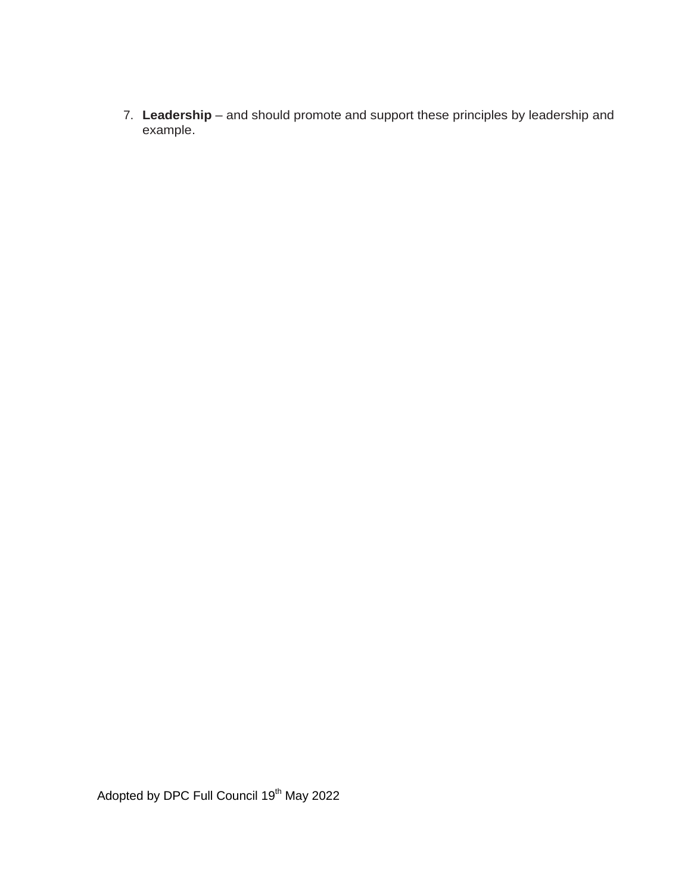7. **Leadership** – and should promote and support these principles by leadership and example.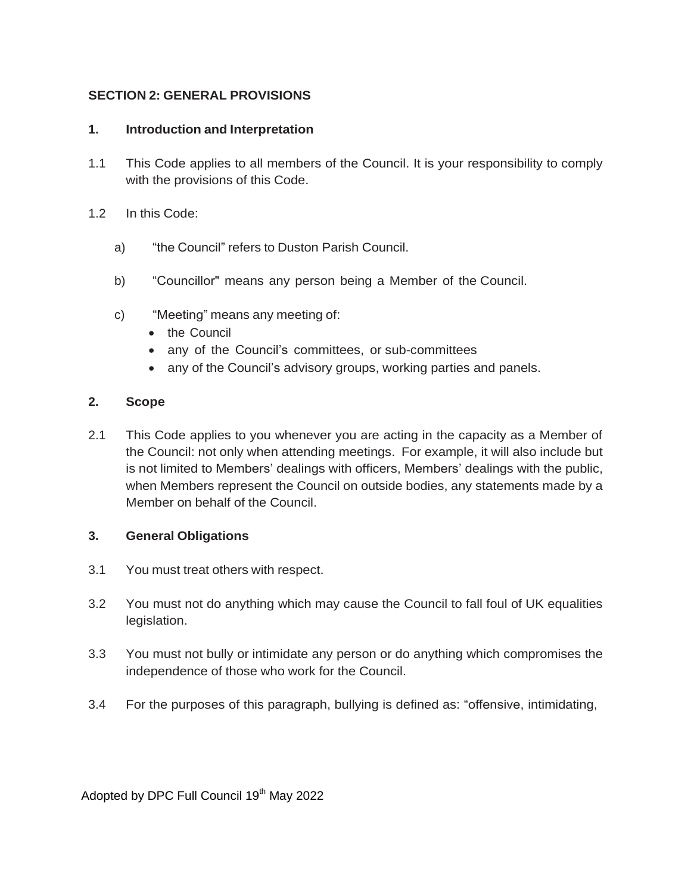# **SECTION 2: GENERAL PROVISIONS**

# **1. Introduction and Interpretation**

- 1.1 This Code applies to all members of the Council. It is your responsibility to comply with the provisions of this Code.
- 1.2 In this Code:
	- a) "the Council" refers to Duston Parish Council.
	- b) "Councillor" means any person being a Member of the Council.
	- c) "Meeting" means any meeting of:
		- the Council
		- any of the Council's committees, or sub-committees
		- any of the Council's advisory groups, working parties and panels.

#### **2. Scope**

2.1 This Code applies to you whenever you are acting in the capacity as a Member of the Council: not only when attending meetings. For example, it will also include but is not limited to Members' dealings with officers, Members' dealings with the public, when Members represent the Council on outside bodies, any statements made by a Member on behalf of the Council.

#### **3. General Obligations**

- 3.1 You must treat others with respect.
- 3.2 You must not do anything which may cause the Council to fall foul of UK equalities legislation.
- 3.3 You must not bully or intimidate any person or do anything which compromises the independence of those who work for the Council.
- 3.4 For the purposes of this paragraph, bullying is defined as: "offensive, intimidating,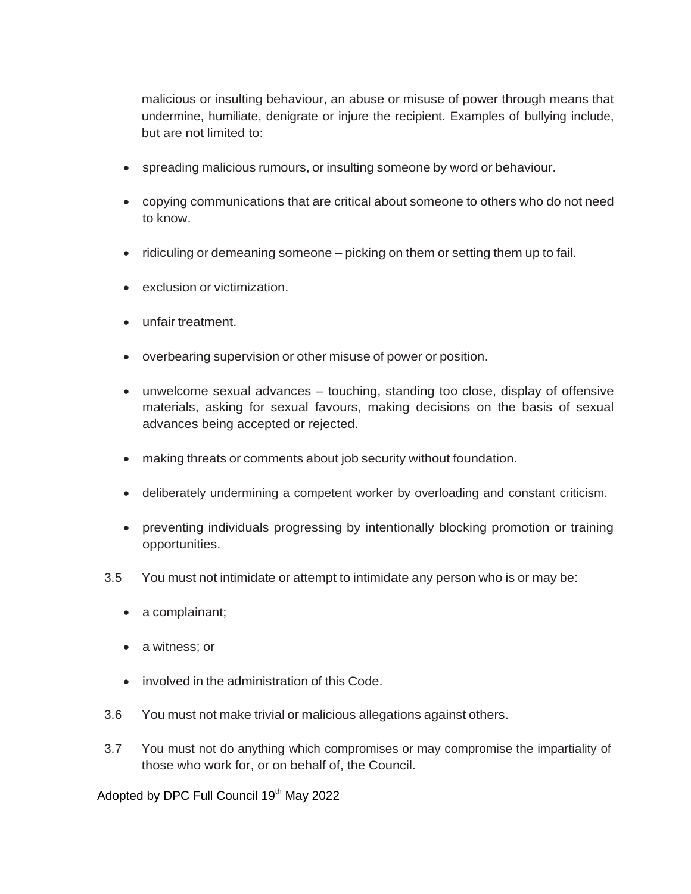malicious or insulting behaviour, an abuse or misuse of power through means that undermine, humiliate, denigrate or injure the recipient. Examples of bullying include, but are not limited to:

- spreading malicious rumours, or insulting someone by word or behaviour.
- copying communications that are critical about someone to others who do not need to know.
- ridiculing or demeaning someone picking on them or setting them up to fail.
- exclusion or victimization.
- unfair treatment.
- overbearing supervision or other misuse of power or position.
- unwelcome sexual advances touching, standing too close, display of offensive materials, asking for sexual favours, making decisions on the basis of sexual advances being accepted or rejected.
- making threats or comments about job security without foundation.
- deliberately undermining a competent worker by overloading and constant criticism.
- preventing individuals progressing by intentionally blocking promotion or training opportunities.
- 3.5 You must not intimidate or attempt to intimidate any person who is or may be:
	- a complainant;
	- a witness; or
	- involved in the administration of this Code.
- 3.6 You must not make trivial or malicious allegations against others.
- 3.7 You must not do anything which compromises or may compromise the impartiality of those who work for, or on behalf of, the Council.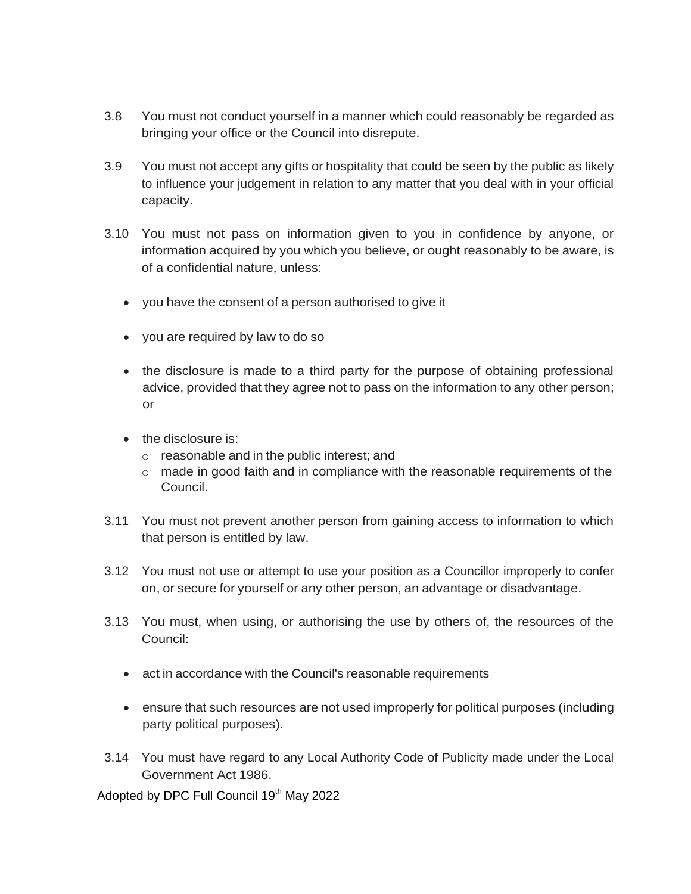- 3.8 You must not conduct yourself in a manner which could reasonably be regarded as bringing your office or the Council into disrepute.
- 3.9 You must not accept any gifts or hospitality that could be seen by the public as likely to influence your judgement in relation to any matter that you deal with in your official capacity.
- 3.10 You must not pass on information given to you in confidence by anyone, or information acquired by you which you believe, or ought reasonably to be aware, is of a confidential nature, unless:
	- you have the consent of a person authorised to give it
	- you are required by law to do so
	- the disclosure is made to a third party for the purpose of obtaining professional advice, provided that they agree not to pass on the information to any other person; or
	- the disclosure is:
		- o reasonable and in the public interest; and
		- o made in good faith and in compliance with the reasonable requirements of the Council.
- 3.11 You must not prevent another person from gaining access to information to which that person is entitled by law.
- 3.12 You must not use or attempt to use your position as a Councillor improperly to confer on, or secure for yourself or any other person, an advantage or disadvantage.
- 3.13 You must, when using, or authorising the use by others of, the resources of the Council:
	- act in accordance with the Council's reasonable requirements
	- ensure that such resources are not used improperly for political purposes (including party political purposes).
- 3.14 You must have regard to any Local Authority Code of Publicity made under the Local Government Act 1986.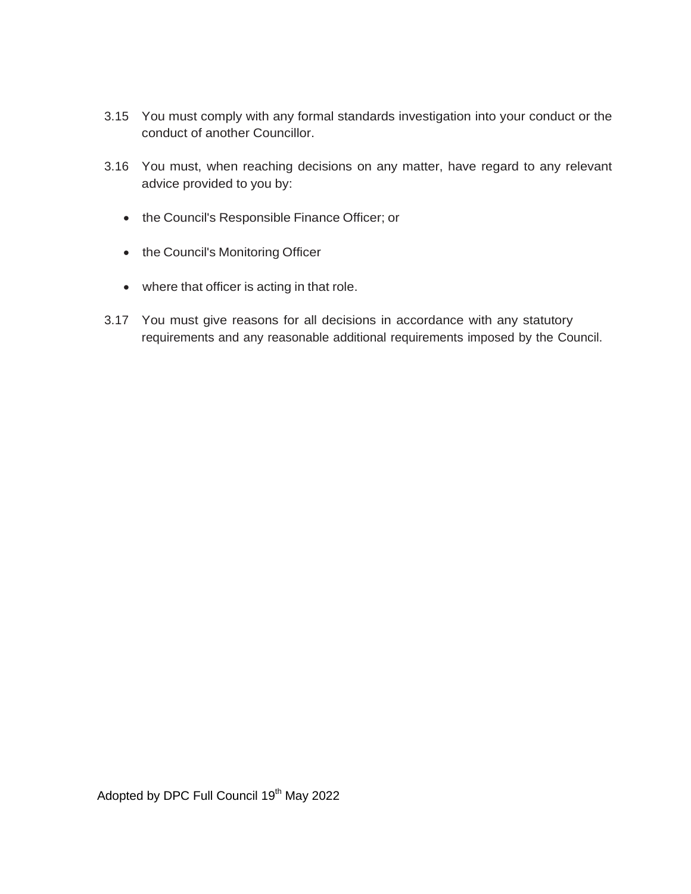- 3.15 You must comply with any formal standards investigation into your conduct or the conduct of another Councillor.
- 3.16 You must, when reaching decisions on any matter, have regard to any relevant advice provided to you by:
	- the Council's Responsible Finance Officer; or
	- the Council's Monitoring Officer
	- where that officer is acting in that role.
- 3.17 You must give reasons for all decisions in accordance with any statutory requirements and any reasonable additional requirements imposed by the Council.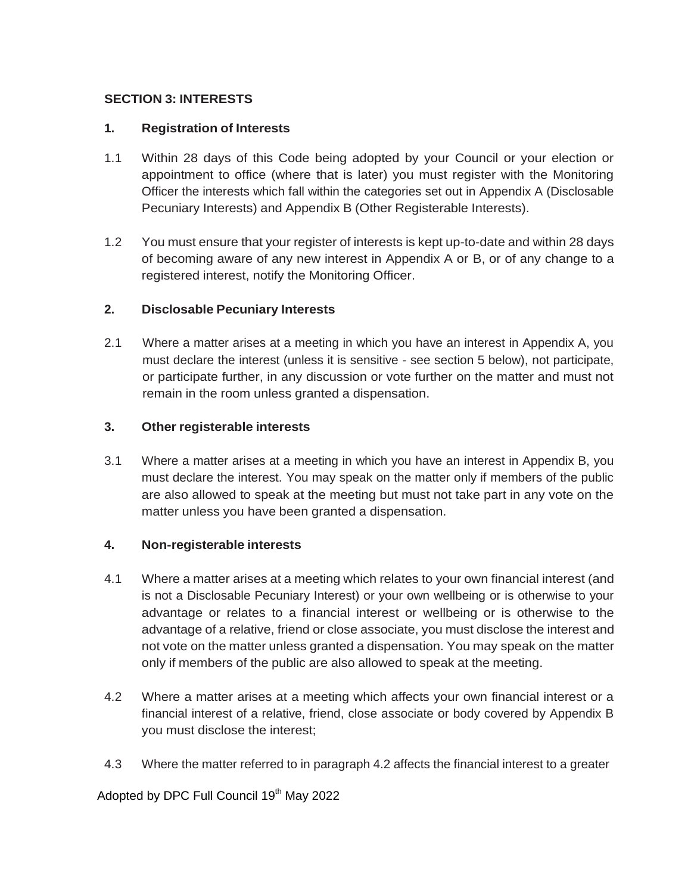#### **SECTION 3: INTERESTS**

#### **1. Registration of Interests**

- 1.1 Within 28 days of this Code being adopted by your Council or your election or appointment to office (where that is later) you must register with the Monitoring Officer the interests which fall within the categories set out in Appendix A (Disclosable Pecuniary Interests) and Appendix B (Other Registerable Interests).
- 1.2 You must ensure that your register of interests is kept up-to-date and within 28 days of becoming aware of any new interest in Appendix A or B, or of any change to a registered interest, notify the Monitoring Officer.

#### **2. Disclosable Pecuniary Interests**

2.1 Where a matter arises at a meeting in which you have an interest in Appendix A, you must declare the interest (unless it is sensitive - see section 5 below), not participate, or participate further, in any discussion or vote further on the matter and must not remain in the room unless granted a dispensation.

#### **3. Other registerable interests**

3.1 Where a matter arises at a meeting in which you have an interest in Appendix B, you must declare the interest. You may speak on the matter only if members of the public are also allowed to speak at the meeting but must not take part in any vote on the matter unless you have been granted a dispensation.

#### **4. Non-registerable interests**

- 4.1 Where a matter arises at a meeting which relates to your own financial interest (and is not a Disclosable Pecuniary Interest) or your own wellbeing or is otherwise to your advantage or relates to a financial interest or wellbeing or is otherwise to the advantage of a relative, friend or close associate, you must disclose the interest and not vote on the matter unless granted a dispensation. You may speak on the matter only if members of the public are also allowed to speak at the meeting.
- 4.2 Where a matter arises at a meeting which affects your own financial interest or a financial interest of a relative, friend, close associate or body covered by Appendix B you must disclose the interest;
- 4.3 Where the matter referred to in paragraph 4.2 affects the financial interest to a greater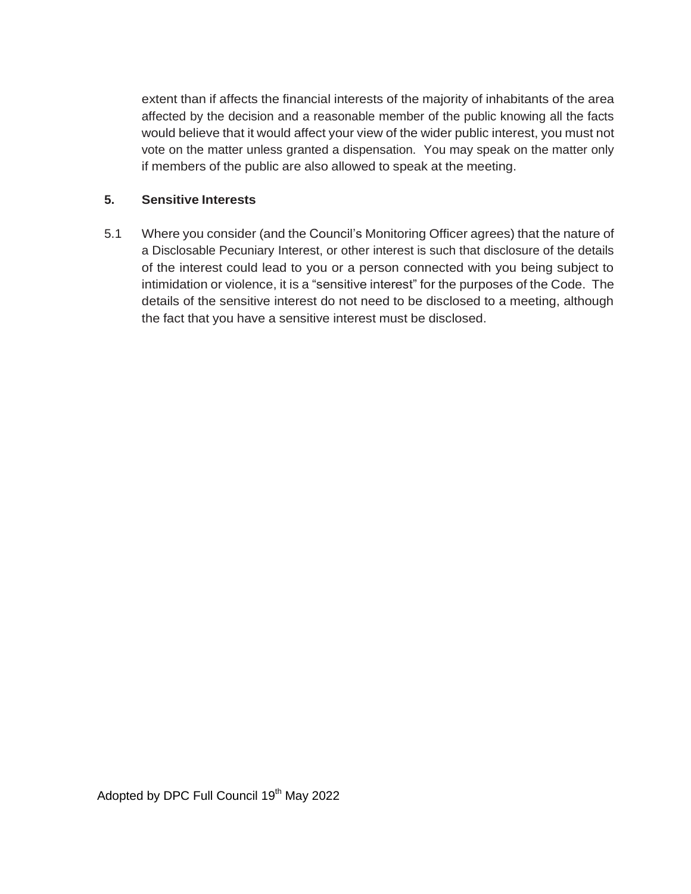extent than if affects the financial interests of the majority of inhabitants of the area affected by the decision and a reasonable member of the public knowing all the facts would believe that it would affect your view of the wider public interest, you must not vote on the matter unless granted a dispensation. You may speak on the matter only if members of the public are also allowed to speak at the meeting.

#### **5. Sensitive Interests**

5.1 Where you consider (and the Council's Monitoring Officer agrees) that the nature of a Disclosable Pecuniary Interest, or other interest is such that disclosure of the details of the interest could lead to you or a person connected with you being subject to intimidation or violence, it is a "sensitive interest" for the purposes of the Code. The details of the sensitive interest do not need to be disclosed to a meeting, although the fact that you have a sensitive interest must be disclosed.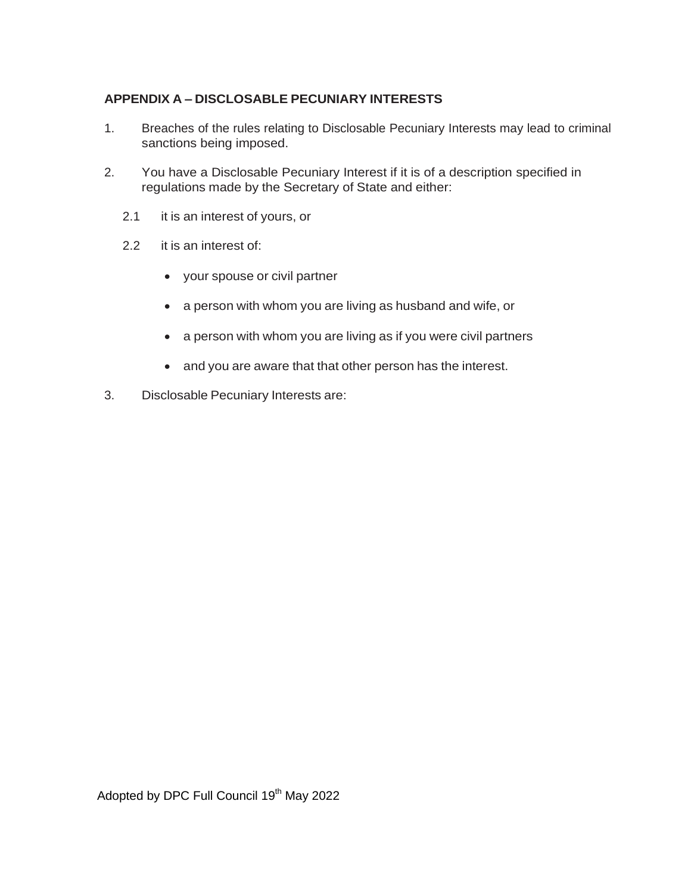# **APPENDIX A – DISCLOSABLE PECUNIARY INTERESTS**

- 1. Breaches of the rules relating to Disclosable Pecuniary Interests may lead to criminal sanctions being imposed.
- 2. You have a Disclosable Pecuniary Interest if it is of a description specified in regulations made by the Secretary of State and either:
	- 2.1 it is an interest of yours, or
	- 2.2 it is an interest of:
		- your spouse or civil partner
		- a person with whom you are living as husband and wife, or
		- a person with whom you are living as if you were civil partners
		- and you are aware that that other person has the interest.
- 3. Disclosable Pecuniary Interests are: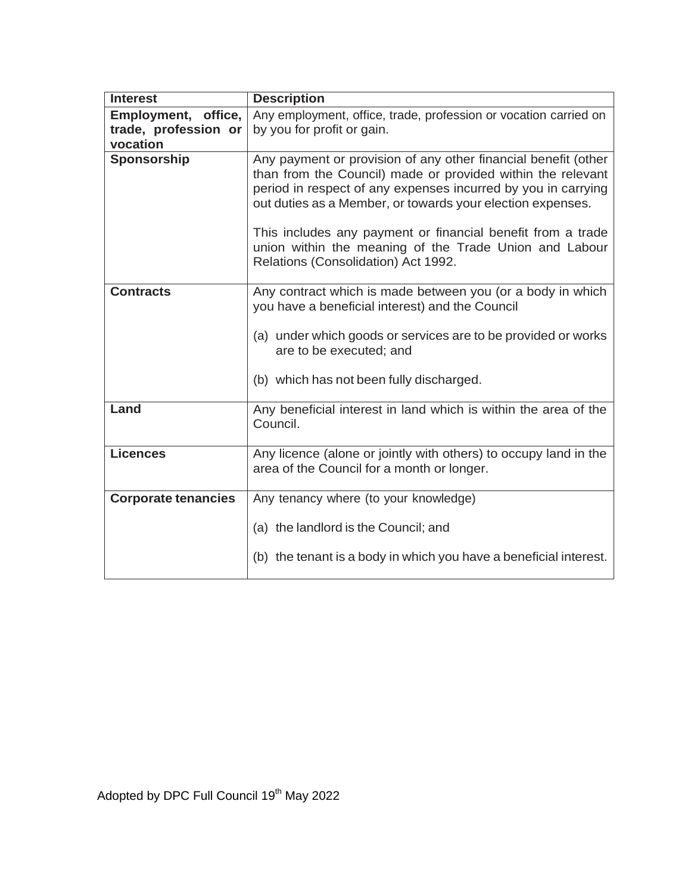| <b>Interest</b>            | <b>Description</b>                                                                                                                                                                                                                                                                                                                                                                                                           |
|----------------------------|------------------------------------------------------------------------------------------------------------------------------------------------------------------------------------------------------------------------------------------------------------------------------------------------------------------------------------------------------------------------------------------------------------------------------|
| Employment, office,        | Any employment, office, trade, profession or vocation carried on                                                                                                                                                                                                                                                                                                                                                             |
| trade, profession or       | by you for profit or gain.                                                                                                                                                                                                                                                                                                                                                                                                   |
| vocation                   |                                                                                                                                                                                                                                                                                                                                                                                                                              |
| Sponsorship                | Any payment or provision of any other financial benefit (other<br>than from the Council) made or provided within the relevant<br>period in respect of any expenses incurred by you in carrying<br>out duties as a Member, or towards your election expenses.<br>This includes any payment or financial benefit from a trade<br>union within the meaning of the Trade Union and Labour<br>Relations (Consolidation) Act 1992. |
| <b>Contracts</b>           | Any contract which is made between you (or a body in which<br>you have a beneficial interest) and the Council                                                                                                                                                                                                                                                                                                                |
|                            | (a) under which goods or services are to be provided or works<br>are to be executed; and                                                                                                                                                                                                                                                                                                                                     |
|                            | (b) which has not been fully discharged.                                                                                                                                                                                                                                                                                                                                                                                     |
| Land                       | Any beneficial interest in land which is within the area of the<br>Council.                                                                                                                                                                                                                                                                                                                                                  |
| <b>Licences</b>            | Any licence (alone or jointly with others) to occupy land in the<br>area of the Council for a month or longer.                                                                                                                                                                                                                                                                                                               |
| <b>Corporate tenancies</b> | Any tenancy where (to your knowledge)                                                                                                                                                                                                                                                                                                                                                                                        |
|                            | (a) the landlord is the Council; and<br>(b) the tenant is a body in which you have a beneficial interest.                                                                                                                                                                                                                                                                                                                    |
|                            |                                                                                                                                                                                                                                                                                                                                                                                                                              |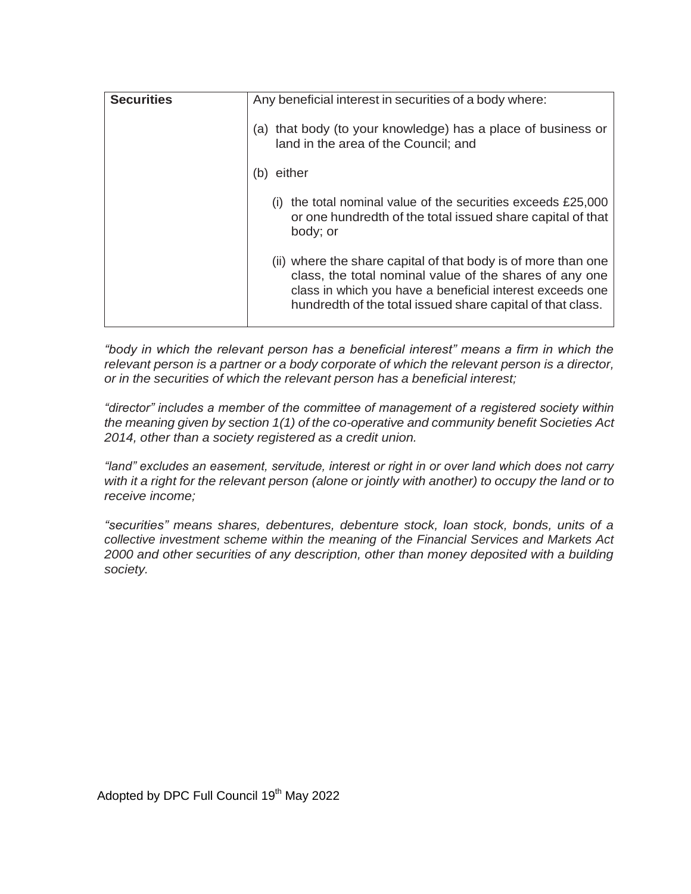| Any beneficial interest in securities of a body where:                                                                                                                                                                                              |
|-----------------------------------------------------------------------------------------------------------------------------------------------------------------------------------------------------------------------------------------------------|
| that body (to your knowledge) has a place of business or<br>(a)<br>land in the area of the Council; and                                                                                                                                             |
| either<br>(b)                                                                                                                                                                                                                                       |
| the total nominal value of the securities exceeds £25,000<br>(1)<br>or one hundredth of the total issued share capital of that<br>body; or                                                                                                          |
| (ii) where the share capital of that body is of more than one<br>class, the total nominal value of the shares of any one<br>class in which you have a beneficial interest exceeds one<br>hundredth of the total issued share capital of that class. |
|                                                                                                                                                                                                                                                     |

*"body in which the relevant person has a beneficial interest" means a firm in which the relevant person is a partner or a body corporate of which the relevant person is a director, or in the securities of which the relevant person has a beneficial interest;*

*"director" includes a member of the committee of management of a registered society within the meaning given by section 1(1) of the co-operative and community benefit Societies Act 2014, other than a society registered as a credit union.*

*"land" excludes an easement, servitude, interest or right in or over land which does not carry* with it a right for the relevant person (alone or jointly with another) to occupy the land or to *receive income;*

*"securities" means shares, debentures, debenture stock, loan stock, bonds, units of a collective investment scheme within the meaning of the Financial Services and Markets Act 2000 and other securities of any description, other than money deposited with a building society.*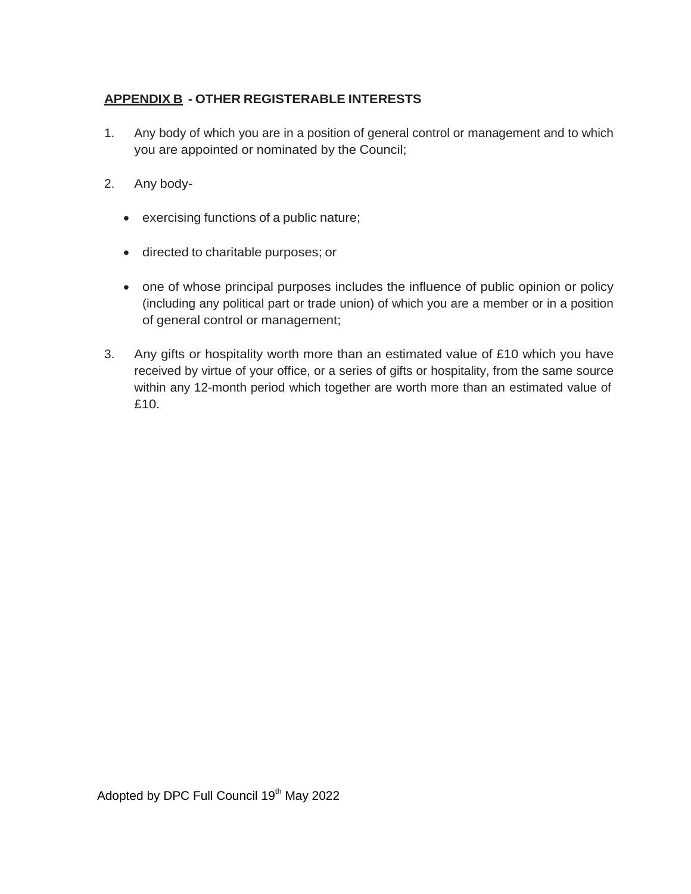# **APPENDIX B - OTHER REGISTERABLE INTERESTS**

- 1. Any body of which you are in a position of general control or management and to which you are appointed or nominated by the Council;
- 2. Any body
	- exercising functions of a public nature;
	- directed to charitable purposes; or
	- one of whose principal purposes includes the influence of public opinion or policy (including any political part or trade union) of which you are a member or in a position of general control or management;
- 3. Any gifts or hospitality worth more than an estimated value of £10 which you have received by virtue of your office, or a series of gifts or hospitality, from the same source within any 12-month period which together are worth more than an estimated value of £10.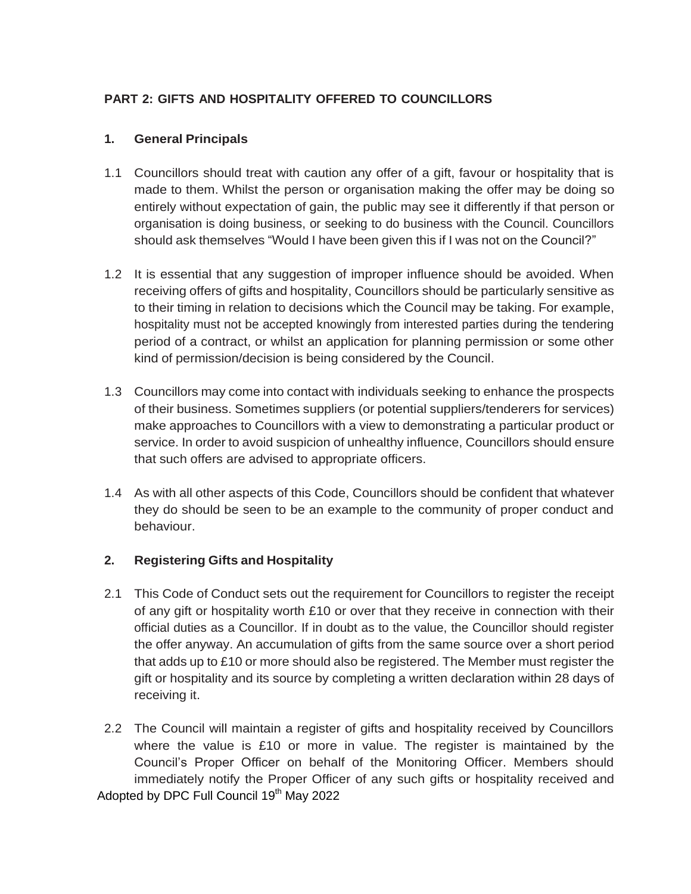# **PART 2: GIFTS AND HOSPITALITY OFFERED TO COUNCILLORS**

#### **1. General Principals**

- 1.1 Councillors should treat with caution any offer of a gift, favour or hospitality that is made to them. Whilst the person or organisation making the offer may be doing so entirely without expectation of gain, the public may see it differently if that person or organisation is doing business, or seeking to do business with the Council. Councillors should ask themselves "Would I have been given this if I was not on the Council?"
- 1.2 It is essential that any suggestion of improper influence should be avoided. When receiving offers of gifts and hospitality, Councillors should be particularly sensitive as to their timing in relation to decisions which the Council may be taking. For example, hospitality must not be accepted knowingly from interested parties during the tendering period of a contract, or whilst an application for planning permission or some other kind of permission/decision is being considered by the Council.
- 1.3 Councillors may come into contact with individuals seeking to enhance the prospects of their business. Sometimes suppliers (or potential suppliers/tenderers for services) make approaches to Councillors with a view to demonstrating a particular product or service. In order to avoid suspicion of unhealthy influence, Councillors should ensure that such offers are advised to appropriate officers.
- 1.4 As with all other aspects of this Code, Councillors should be confident that whatever they do should be seen to be an example to the community of proper conduct and behaviour.

# **2. Registering Gifts and Hospitality**

- 2.1 This Code of Conduct sets out the requirement for Councillors to register the receipt of any gift or hospitality worth £10 or over that they receive in connection with their official duties as a Councillor. If in doubt as to the value, the Councillor should register the offer anyway. An accumulation of gifts from the same source over a short period that adds up to £10 or more should also be registered. The Member must register the gift or hospitality and its source by completing a written declaration within 28 days of receiving it.
- Adopted by DPC Full Council 19<sup>th</sup> May 2022 2.2 The Council will maintain a register of gifts and hospitality received by Councillors where the value is £10 or more in value. The register is maintained by the Council's Proper Officer on behalf of the Monitoring Officer. Members should immediately notify the Proper Officer of any such gifts or hospitality received and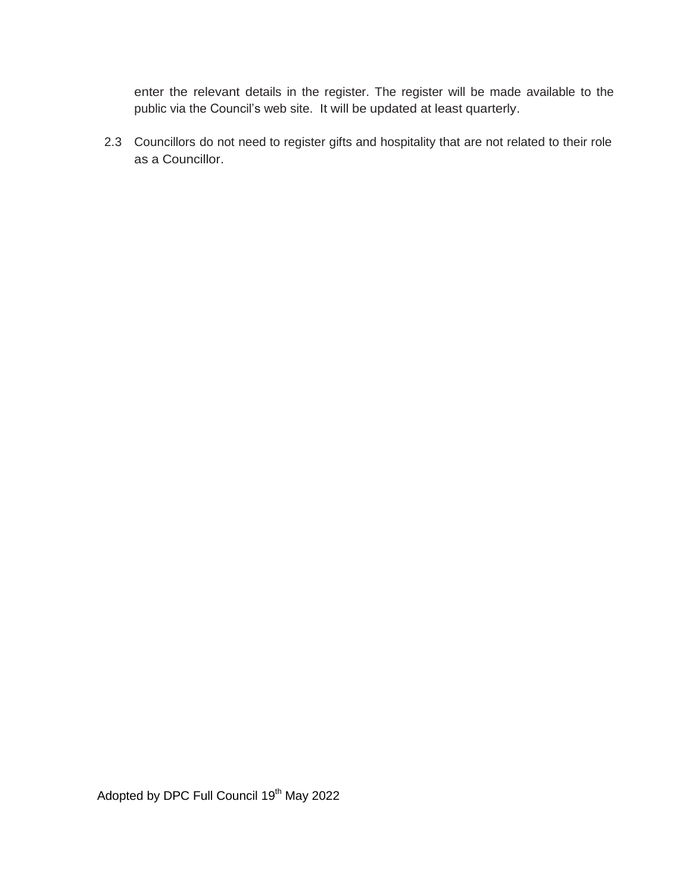enter the relevant details in the register. The register will be made available to the public via the Council's web site. It will be updated at least quarterly.

2.3 Councillors do not need to register gifts and hospitality that are not related to their role as a Councillor.